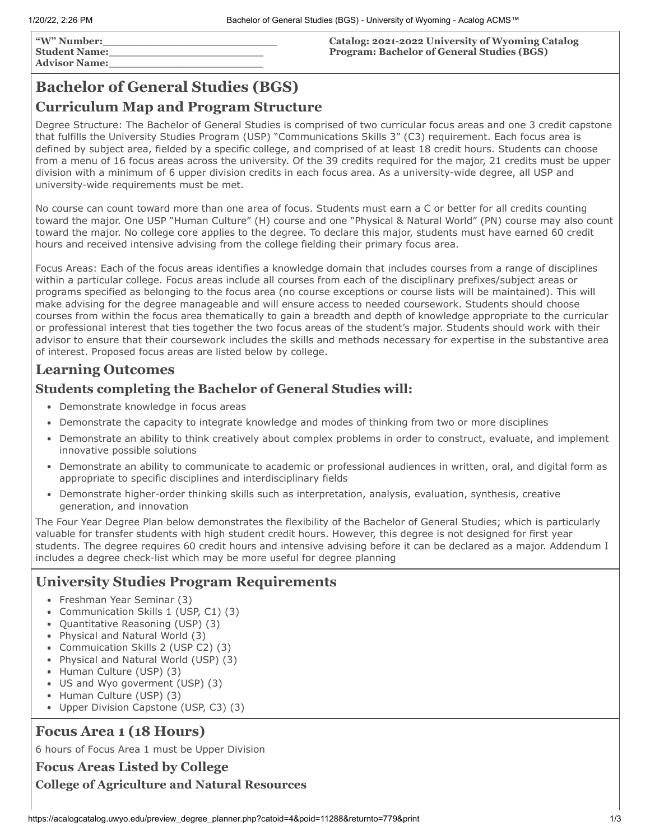**"W" Number:\_\_\_\_\_\_\_\_\_\_\_\_\_\_\_\_\_\_\_\_\_\_\_\_\_\_ Student Name:\_\_\_\_\_\_\_\_\_\_\_\_\_\_\_\_\_\_\_\_\_\_\_ Advisor Name:\_\_\_\_\_\_\_\_\_\_\_\_\_\_\_\_\_\_\_\_\_\_\_** **Catalog: 2021-2022 University of Wyoming Catalog Program: Bachelor of General Studies (BGS)**

# **Bachelor of General Studies (BGS)**

## **Curriculum Map and Program Structure**

Degree Structure: The Bachelor of General Studies is comprised of two curricular focus areas and one 3 credit capstone that fulfills the University Studies Program (USP) "Communications Skills 3" (C3) requirement. Each focus area is defined by subject area, fielded by a specific college, and comprised of at least 18 credit hours. Students can choose from a menu of 16 focus areas across the university. Of the 39 credits required for the major, 21 credits must be upper division with a minimum of 6 upper division credits in each focus area. As a university-wide degree, all USP and university-wide requirements must be met.

No course can count toward more than one area of focus. Students must earn a C or better for all credits counting toward the major. One USP "Human Culture" (H) course and one "Physical & Natural World" (PN) course may also count toward the major. No college core applies to the degree. To declare this major, students must have earned 60 credit hours and received intensive advising from the college fielding their primary focus area.

Focus Areas: Each of the focus areas identifies a knowledge domain that includes courses from a range of disciplines within a particular college. Focus areas include all courses from each of the disciplinary prefixes/subject areas or programs specified as belonging to the focus area (no course exceptions or course lists will be maintained). This will make advising for the degree manageable and will ensure access to needed coursework. Students should choose courses from within the focus area thematically to gain a breadth and depth of knowledge appropriate to the curricular or professional interest that ties together the two focus areas of the student's major. Students should work with their advisor to ensure that their coursework includes the skills and methods necessary for expertise in the substantive area of interest. Proposed focus areas are listed below by college.

## **Learning Outcomes**

## **Students completing the Bachelor of General Studies will:**

- Demonstrate knowledge in focus areas
- Demonstrate the capacity to integrate knowledge and modes of thinking from two or more disciplines
- Demonstrate an ability to think creatively about complex problems in order to construct, evaluate, and implement innovative possible solutions
- Demonstrate an ability to communicate to academic or professional audiences in written, oral, and digital form as appropriate to specific disciplines and interdisciplinary fields
- Demonstrate higher-order thinking skills such as interpretation, analysis, evaluation, synthesis, creative generation, and innovation

The Four Year Degree Plan below demonstrates the flexibility of the Bachelor of General Studies; which is particularly valuable for transfer students with high student credit hours. However, this degree is not designed for first year students. The degree requires 60 credit hours and intensive advising before it can be declared as a major. Addendum I includes a degree check-list which may be more useful for degree planning

## **University Studies Program Requirements**

- Freshman Year Seminar (3)
- Communication Skills 1 (USP, C1) (3)
- Quantitative Reasoning (USP) (3)
- Physical and Natural World (3)
- Commuication Skills 2 (USP C2) (3)
- Physical and Natural World (USP) (3)
- Human Culture (USP) (3)
- US and Wyo goverment (USP) (3)
- Human Culture (USP) (3)
- Upper Division Capstone (USP, C3) (3)

## **Focus Area 1 (18 Hours)**

6 hours of Focus Area 1 must be Upper Division

**Focus Areas Listed by College**

**College of Agriculture and Natural Resources**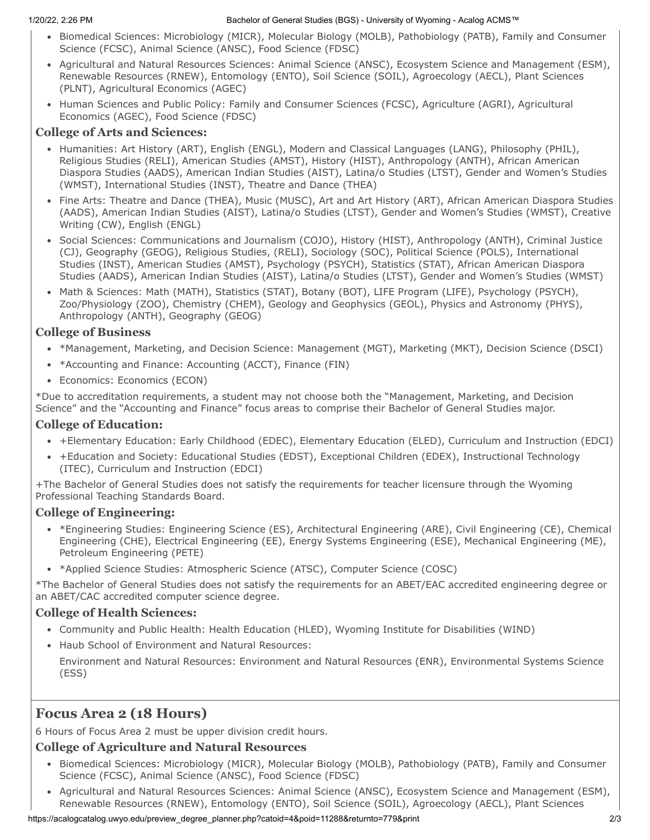#### 1/20/22, 2:26 PM Bachelor of General Studies (BGS) - University of Wyoming - Acalog ACMS™

- Biomedical Sciences: Microbiology (MICR), Molecular Biology (MOLB), Pathobiology (PATB), Family and Consumer Science (FCSC), Animal Science (ANSC), Food Science (FDSC)
- Agricultural and Natural Resources Sciences: Animal Science (ANSC), Ecosystem Science and Management (ESM), Renewable Resources (RNEW), Entomology (ENTO), Soil Science (SOIL), Agroecology (AECL), Plant Sciences (PLNT), Agricultural Economics (AGEC)
- Human Sciences and Public Policy: Family and Consumer Sciences (FCSC), Agriculture (AGRI), Agricultural Economics (AGEC), Food Science (FDSC)

#### **College of Arts and Sciences:**

- Humanities: Art History (ART), English (ENGL), Modern and Classical Languages (LANG), Philosophy (PHIL), Religious Studies (RELI), American Studies (AMST), History (HIST), Anthropology (ANTH), African American Diaspora Studies (AADS), American Indian Studies (AIST), Latina/o Studies (LTST), Gender and Women's Studies (WMST), International Studies (INST), Theatre and Dance (THEA)
- Fine Arts: Theatre and Dance (THEA), Music (MUSC), Art and Art History (ART), African American Diaspora Studies (AADS), American Indian Studies (AIST), Latina/o Studies (LTST), Gender and Women's Studies (WMST), Creative Writing (CW), English (ENGL)
- Social Sciences: Communications and Journalism (COJO), History (HIST), Anthropology (ANTH), Criminal Justice (CJ), Geography (GEOG), Religious Studies, (RELI), Sociology (SOC), Political Science (POLS), International Studies (INST), American Studies (AMST), Psychology (PSYCH), Statistics (STAT), African American Diaspora Studies (AADS), American Indian Studies (AIST), Latina/o Studies (LTST), Gender and Women's Studies (WMST)
- Math & Sciences: Math (MATH), Statistics (STAT), Botany (BOT), LIFE Program (LIFE), Psychology (PSYCH), Zoo/Physiology (ZOO), Chemistry (CHEM), Geology and Geophysics (GEOL), Physics and Astronomy (PHYS), Anthropology (ANTH), Geography (GEOG)

### **College of Business**

- \*Management, Marketing, and Decision Science: Management (MGT), Marketing (MKT), Decision Science (DSCI)
- \*Accounting and Finance: Accounting (ACCT), Finance (FIN)
- Economics: Economics (ECON)

\*Due to accreditation requirements, a student may not choose both the "Management, Marketing, and Decision Science" and the "Accounting and Finance" focus areas to comprise their Bachelor of General Studies major.

### **College of Education:**

- +Elementary Education: Early Childhood (EDEC), Elementary Education (ELED), Curriculum and Instruction (EDCI)
- +Education and Society: Educational Studies (EDST), Exceptional Children (EDEX), Instructional Technology (ITEC), Curriculum and Instruction (EDCI)

+The Bachelor of General Studies does not satisfy the requirements for teacher licensure through the Wyoming Professional Teaching Standards Board.

### **College of Engineering:**

- \*Engineering Studies: Engineering Science (ES), Architectural Engineering (ARE), Civil Engineering (CE), Chemical Engineering (CHE), Electrical Engineering (EE), Energy Systems Engineering (ESE), Mechanical Engineering (ME), Petroleum Engineering (PETE)
- \* \*Applied Science Studies: Atmospheric Science (ATSC), Computer Science (COSC)

\*The Bachelor of General Studies does not satisfy the requirements for an ABET/EAC accredited engineering degree or an ABET/CAC accredited computer science degree.

### **College of Health Sciences:**

- Community and Public Health: Health Education (HLED), Wyoming Institute for Disabilities (WIND)
- Haub School of Environment and Natural Resources: Environment and Natural Resources: Environment and Natural Resources (ENR), Environmental Systems Science (ESS)

## **Focus Area 2 (18 Hours)**

6 Hours of Focus Area 2 must be upper division credit hours.

### **College of Agriculture and Natural Resources**

- Biomedical Sciences: Microbiology (MICR), Molecular Biology (MOLB), Pathobiology (PATB), Family and Consumer Science (FCSC), Animal Science (ANSC), Food Science (FDSC)
- Agricultural and Natural Resources Sciences: Animal Science (ANSC), Ecosystem Science and Management (ESM), Renewable Resources (RNEW), Entomology (ENTO), Soil Science (SOIL), Agroecology (AECL), Plant Sciences